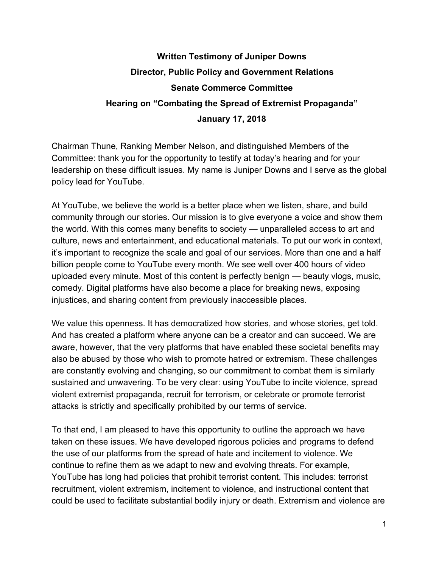## **Written Testimony of Juniper Downs Director, Public Policy and Government Relations Senate Commerce Committee Hearing on "Combating the Spread of Extremist Propaganda" January 17, 2018**

Chairman Thune, Ranking Member Nelson, and distinguished Members of the Committee: thank you for the opportunity to testify at today's hearing and for your leadership on these difficult issues. My name is Juniper Downs and I serve as the global policy lead for YouTube.

At YouTube, we believe the world is a better place when we listen, share, and build community through our stories. Our mission is to give everyone a voice and show them the world. With this comes many benefits to society — unparalleled access to art and culture, news and entertainment, and educational materials. To put our work in context, it's important to recognize the scale and goal of our services. More than one and a half billion people come to YouTube every month. We see well over 400 hours of video uploaded every minute. Most of this content is perfectly benign — beauty vlogs, music, comedy. Digital platforms have also become a place for breaking news, exposing injustices, and sharing content from previously inaccessible places.

We value this openness. It has democratized how stories, and whose stories, get told. And has created a platform where anyone can be a creator and can succeed. We are aware, however, that the very platforms that have enabled these societal benefits may also be abused by those who wish to promote hatred or extremism. These challenges are constantly evolving and changing, so our commitment to combat them is similarly sustained and unwavering. To be very clear: using YouTube to incite violence, spread violent extremist propaganda, recruit for terrorism, or celebrate or promote terrorist attacks is strictly and specifically prohibited by our terms of service.

To that end, I am pleased to have this opportunity to outline the approach we have taken on these issues. We have developed rigorous policies and programs to defend the use of our platforms from the spread of hate and incitement to violence. We continue to refine them as we adapt to new and evolving threats. For example, YouTube has long had policies that prohibit terrorist content. This includes: terrorist recruitment, violent extremism, incitement to violence, and instructional content that could be used to facilitate substantial bodily injury or death. Extremism and violence are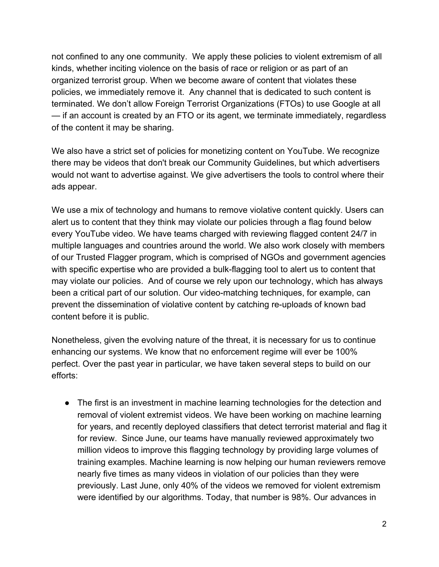not confined to any one community. We apply these policies to violent extremism of all kinds, whether inciting violence on the basis of race or religion or as part of an organized terrorist group. When we become aware of content that violates these policies, we immediately remove it. Any channel that is dedicated to such content is terminated. We don't allow Foreign Terrorist Organizations (FTOs) to use Google at all — if an account is created by an FTO or its agent, we terminate immediately, regardless of the content it may be sharing.

We also have a strict set of policies for monetizing content on YouTube. We recognize there may be videos that don't break our Community Guidelines, but which advertisers would not want to advertise against. We give advertisers the tools to control where their ads appear.

We use a mix of technology and humans to remove violative content quickly. Users can alert us to content that they think may violate our policies through a flag found below every YouTube video. We have teams charged with reviewing flagged content 24/7 in multiple languages and countries around the world. We also work closely with members of our Trusted Flagger program, which is comprised of NGOs and government agencies with specific expertise who are provided a bulk-flagging tool to alert us to content that may violate our policies. And of course we rely upon our technology, which has always been a critical part of our solution. Our video-matching techniques, for example, can prevent the dissemination of violative content by catching re-uploads of known bad content before it is public.

Nonetheless, given the evolving nature of the threat, it is necessary for us to continue enhancing our systems. We know that no enforcement regime will ever be 100% perfect. Over the past year in particular, we have taken several steps to build on our efforts:

● The first is an investment in machine learning technologies for the detection and removal of violent extremist videos. We have been working on machine learning for years, and recently deployed classifiers that detect terrorist material and flag it for review. Since June, our teams have manually reviewed approximately two million videos to improve this flagging technology by providing large volumes of training examples. Machine learning is now helping our human reviewers remove nearly five times as many videos in violation of our policies than they were previously. Last June, only 40% of the videos we removed for violent extremism were identified by our algorithms. Today, that number is 98%. Our advances in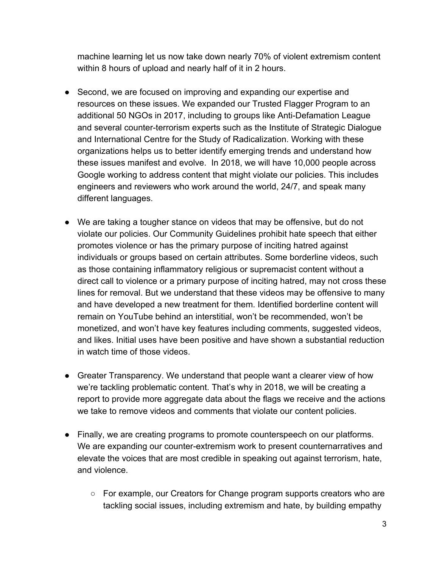machine learning let us now take down nearly 70% of violent extremism content within 8 hours of upload and nearly half of it in 2 hours.

- Second, we are focused on improving and expanding our expertise and resources on these issues. We expanded our Trusted Flagger Program to an additional 50 NGOs in 2017, including to groups like Anti-Defamation League and several counter-terrorism experts such as the Institute of Strategic Dialogue and International Centre for the Study of Radicalization. Working with these organizations helps us to better identify emerging trends and understand how these issues manifest and evolve. In 2018, we will have 10,000 people across Google working to address content that might violate our policies. This includes engineers and reviewers who work around the world, 24/7, and speak many different languages.
- We are taking a tougher stance on videos that may be offensive, but do not violate our policies. Our Community Guidelines prohibit hate speech that either promotes violence or has the primary purpose of inciting hatred against individuals or groups based on certain attributes. Some borderline videos, such as those containing inflammatory religious or supremacist content without a direct call to violence or a primary purpose of inciting hatred, may not cross these lines for removal. But we understand that these videos may be offensive to many and have developed a new treatment for them. Identified borderline content will remain on YouTube behind an interstitial, won't be recommended, won't be monetized, and won't have key features including comments, suggested videos, and likes. Initial uses have been positive and have shown a substantial reduction in watch time of those videos.
- Greater Transparency. We understand that people want a clearer view of how we're tackling problematic content. That's why in 2018, we will be creating a report to provide more aggregate data about the flags we receive and the actions we take to remove videos and comments that violate our content policies.
- Finally, we are creating programs to promote counterspeech on our platforms. We are expanding our counter-extremism work to present counternarratives and elevate the voices that are most credible in speaking out against terrorism, hate, and violence.
	- For example, our Creators for Change program supports creators who are tackling social issues, including extremism and hate, by building empathy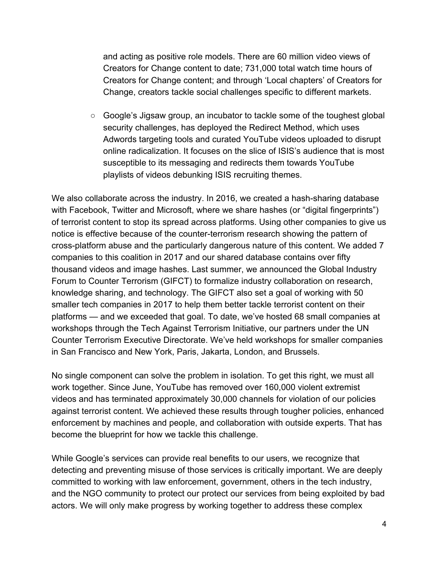and acting as positive role models. There are 60 million video views of Creators for Change content to date; 731,000 total watch time hours of Creators for Change content; and through 'Local chapters' of Creators for Change, creators tackle social challenges specific to different markets.

 $\circ$  Google's Jigsaw group, an incubator to tackle some of the toughest global security challenges, has deployed the Redirect Method, which uses Adwords targeting tools and curated YouTube videos uploaded to disrupt online radicalization. It focuses on the slice of ISIS's audience that is most susceptible to its messaging and redirects them towards YouTube playlists of videos debunking ISIS recruiting themes.

We also collaborate across the industry. In 2016, we created a hash-sharing database with Facebook, Twitter and Microsoft, where we share hashes (or "digital fingerprints") of terrorist content to stop its spread across platforms. Using other companies to give us notice is effective because of the counter-terrorism research showing the pattern of cross-platform abuse and the particularly dangerous nature of this content. We added 7 companies to this coalition in 2017 and our shared database contains over fifty thousand videos and image hashes. Last summer, we announced the Global Industry Forum to Counter Terrorism (GIFCT) to formalize industry collaboration on research, knowledge sharing, and technology. The GIFCT also set a goal of working with 50 smaller tech companies in 2017 to help them better tackle terrorist content on their platforms — and we exceeded that goal. To date, we've hosted 68 small companies at workshops through the Tech Against Terrorism Initiative, our partners under the UN Counter Terrorism Executive Directorate. We've held workshops for smaller companies in San Francisco and New York, Paris, Jakarta, London, and Brussels.

No single component can solve the problem in isolation. To get this right, we must all work together. Since June, YouTube has removed over 160,000 violent extremist videos and has terminated approximately 30,000 channels for violation of our policies against terrorist content. We achieved these results through tougher policies, enhanced enforcement by machines and people, and collaboration with outside experts. That has become the blueprint for how we tackle this challenge.

While Google's services can provide real benefits to our users, we recognize that detecting and preventing misuse of those services is critically important. We are deeply committed to working with law enforcement, government, others in the tech industry, and the NGO community to protect our protect our services from being exploited by bad actors. We will only make progress by working together to address these complex